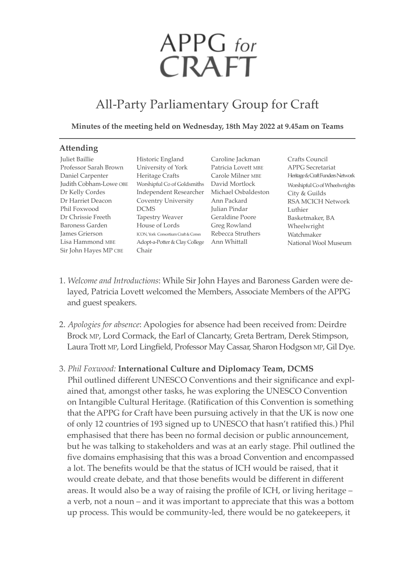# APPG for CRAFT

# All-Party Parliamentary Group for Craft

#### **Minutes of the meeting held on Wednesday, 18th May 2022 at 9.45am on Teams**

#### **Attending**

Juliet baillie Professor Sarah brown Daniel Carpenter Dr Kelly Cordes Dr Harriet Deacon Phil Foxwood Dr Chrissie Freeth baroness Garden James Grierson Lisa Hammond mbe Sir John Hayes MP CBE

Judith Cobham-Lowe OBE Vorshipful Co of Goldsmiths David Mortlock Historic England University of York Heritage Crafts Independent Researcher michael Osbaldeston Coventry University Ann Packard **DCMS** Tapestry Weaver House of Lords ICON, York Consortium Craft & Consn Rebecca Struthers Adopt-a-Potter & Clay College Ann Whittall Chair

Caroline Jackman Patricia Lovett mbe Carole Milner MBE Julian Pindar Geraldine Poore Greg Rowland

Crafts Council APPG Secretariat Heritage & Craft Funders Network Worshipful Co of Wheelwrights City & Guilds RSA mCICH Network Luthier basketmaker, bA Wheelwright Watchmaker National Wool Museum

- 1. *Welcome and Introductions*: While Sir John Hayes and baroness Garden were delayed, Patricia Lovett welcomed the Members, Associate Members of the APPG and guest speakers.
- 2. *Apologies for absence*: Apologies for absence had been received from: Deirdre Brock MP, Lord Cormack, the Earl of Clancarty, Greta Bertram, Derek Stimpson, Laura Trott MP, Lord Lingfield, Professor May Cassar, Sharon Hodgson MP, Gil Dye.

## 3. *Phil Foxwood:* **International Culture and Diplomacy Team, DCMS**

Phil outlined different UNESCO Conventions and their significance and explained that, amongst other tasks, he was exploring the UNESCO Convention on Intangible Cultural Heritage. (Ratification of this Convention is something that the APPG for Craft have been pursuing actively in that the UK is now one of only 12 countries of 193 signed up to UNeSCO that hasn't ratified this.) Phil emphasised that there has been no formal decision or public announcement, but he was talking to stakeholders and was at an early stage. Phil outlined the five domains emphasising that this was a broad Convention and encompassed a lot. The benefits would be that the status of ICH would be raised, that it would create debate, and that those benefits would be different in different areas. It would also be a way of raising the profile of ICH, or living heritage – a verb, not a noun – and it was important to appreciate that this was a bottom up process. This would be community-led, there would be no gatekeepers, it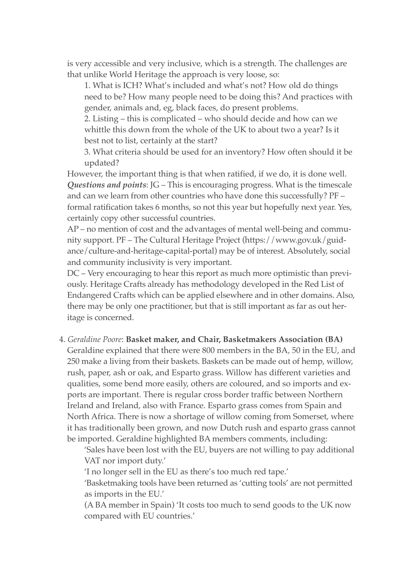is very accessible and very inclusive, which is a strength. The challenges are that unlike World Heritage the approach is very loose, so:

1. What is ICH? What's included and what's not? How old do things need to be? How many people need to be doing this? And practices with gender, animals and, eg, black faces, do present problems.

2. Listing – this is complicated – who should decide and how can we whittle this down from the whole of the UK to about two a year? Is it best not to list, certainly at the start?

3. What criteria should be used for an inventory? How often should it be updated?

However, the important thing is that when ratified, if we do, it is done well. *Questions and points*: JG – This is encouraging progress. What is the timescale and can we learn from other countries who have done this successfully? PF – formal ratification takes 6 months, so not this year but hopefully next year. Yes, certainly copy other successful countries.

AP – no mention of cost and the advantages of mental well-being and community support. PF – The Cultural Heritage Project (https://www.gov.uk/guidance/culture-and-heritage-capital-portal) may be of interest. Absolutely, social and community inclusivity is very important.

DC – Very encouraging to hear this report as much more optimistic than previously. Heritage Crafts already has methodology developed in the Red List of Endangered Crafts which can be applied elsewhere and in other domains. Also, there may be only one practitioner, but that is still important as far as out heritage is concerned.

4. *Geraldine Poore*: **Basket maker, and Chair, Basketmakers Association (BA)**

Geraldine explained that there were 800 members in the BA, 50 in the EU, and 250 make a living from their baskets. Baskets can be made out of hemp, willow, rush, paper, ash or oak, and Esparto grass. Willow has different varieties and qualities, some bend more easily, others are coloured, and so imports and exports are important. There is regular cross border traffic between Northern Ireland and Ireland, also with France. Esparto grass comes from Spain and North Africa. There is now a shortage of willow coming from Somerset, where it has traditionally been grown, and now Dutch rush and esparto grass cannot be imported. Geraldine highlighted bA members comments, including:

'Sales have been lost with the eU, buyers are not willing to pay additional VAT nor import duty.'

'I no longer sell in the eU as there's too much red tape.'

'basketmaking tools have been returned as 'cutting tools' are not permitted as imports in the EU.'

(A bA member in Spain) 'It costs too much to send goods to the UK now compared with EU countries.'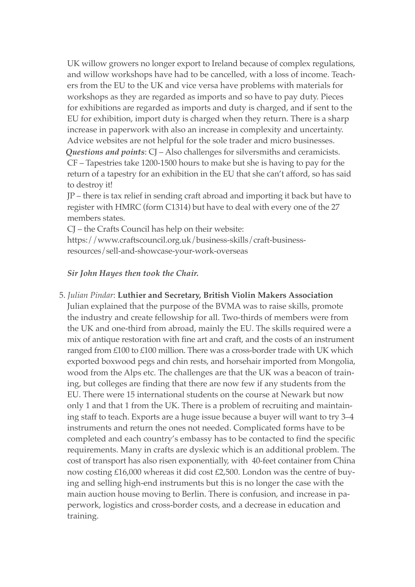UK willow growers no longer export to Ireland because of complex regulations, and willow workshops have had to be cancelled, with a loss of income. Teachers from the eU to the UK and vice versa have problems with materials for workshops as they are regarded as imports and so have to pay duty. Pieces for exhibitions are regarded as imports and duty is charged, and if sent to the EU for exhibition, import duty is charged when they return. There is a sharp increase in paperwork with also an increase in complexity and uncertainty. Advice websites are not helpful for the sole trader and micro businesses. *Questions and points*: CJ – Also challenges for silversmiths and ceramicists. CF – Tapestries take 1200-1500 hours to make but she is having to pay for the return of a tapestry for an exhibition in the EU that she can't afford, so has said to destroy it!

JP – there is tax relief in sending craft abroad and importing it back but have to register with HmRC (form C1314) but have to deal with every one of the 27 members states.

CJ – the Crafts Council has help on their website: https://www.craftscouncil.org.uk/business-skills/craft-businessresources/sell-and-showcase-your-work-overseas

## *Sir John Hayes then took the Chair.*

5. *Julian Pindar*: **Luthier and Secretary, British Violin Makers Association** Julian explained that the purpose of the bVmA was to raise skills, promote the industry and create fellowship for all. Two-thirds of members were from the UK and one-third from abroad, mainly the eU. The skills required were a mix of antique restoration with fine art and craft, and the costs of an instrument ranged from £100 to £100 million. There was a cross-border trade with UK which exported boxwood pegs and chin rests, and horsehair imported from Mongolia, wood from the Alps etc. The challenges are that the UK was a beacon of training, but colleges are finding that there are now few if any students from the eU. There were 15 international students on the course at Newark but now only 1 and that 1 from the UK. There is a problem of recruiting and maintaining staff to teach. Exports are a huge issue because a buyer will want to try 3–4 instruments and return the ones not needed. Complicated forms have to be completed and each country's embassy has to be contacted to find the specific requirements. many in crafts are dyslexic which is an additional problem. The cost of transport has also risen exponentially, with 40-feet container from China now costing £16,000 whereas it did cost £2,500. London was the centre of buying and selling high-end instruments but this is no longer the case with the main auction house moving to berlin. There is confusion, and increase in paperwork, logistics and cross-border costs, and a decrease in education and training.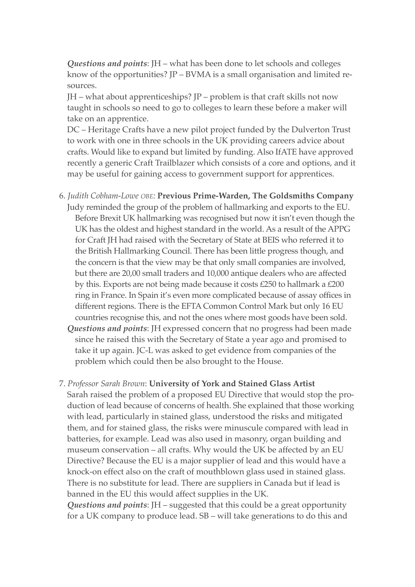*Questions and points*: JH – what has been done to let schools and colleges know of the opportunities?  $IP - BVMA$  is a small organisation and limited resources.

 $JH$  – what about apprenticeships?  $JP$  – problem is that craft skills not now taught in schools so need to go to colleges to learn these before a maker will take on an apprentice.

DC – Heritage Crafts have a new pilot project funded by the Dulverton Trust to work with one in three schools in the UK providing careers advice about crafts. Would like to expand but limited by funding. Also IfATe have approved recently a generic Craft Trailblazer which consists of a core and options, and it may be useful for gaining access to government support for apprentices.

- 6. *Judith Cobham-Lowe obe:* **Previous Prime-Warden, The Goldsmiths Company** Judy reminded the group of the problem of hallmarking and exports to the EU. before brexit UK hallmarking was recognised but now it isn't even though the UK has the oldest and highest standard in the world. As a result of the APPG for Craft JH had raised with the Secretary of State at BEIS who referred it to the british Hallmarking Council. There has been little progress though, and the concern is that the view may be that only small companies are involved, but there are 20,00 small traders and 10,000 antique dealers who are affected by this. Exports are not being made because it costs  $£250$  to hallmark a  $£200$ ring in France. In Spain it's even more complicated because of assay offices in different regions. There is the EFTA Common Control Mark but only 16 EU countries recognise this, and not the ones where most goods have been sold. *Questions and points*: JH expressed concern that no progress had been made since he raised this with the Secretary of State a year ago and promised to take it up again. JC-L was asked to get evidence from companies of the problem which could then be also brought to the House.
- 7. *Professor Sarah brown*: **University of York and Stained Glass Artist** Sarah raised the problem of a proposed eU Directive that would stop the production of lead because of concerns of health. She explained that those working with lead, particularly in stained glass, understood the risks and mitigated them, and for stained glass, the risks were minuscule compared with lead in batteries, for example. Lead was also used in masonry, organ building and museum conservation – all crafts. Why would the UK be affected by an EU Directive? Because the EU is a major supplier of lead and this would have a knock-on effect also on the craft of mouthblown glass used in stained glass. There is no substitute for lead. There are suppliers in Canada but if lead is banned in the eU this would affect supplies in the UK.

*Questions and points*: JH – suggested that this could be a great opportunity for a UK company to produce lead. Sb – will take generations to do this and